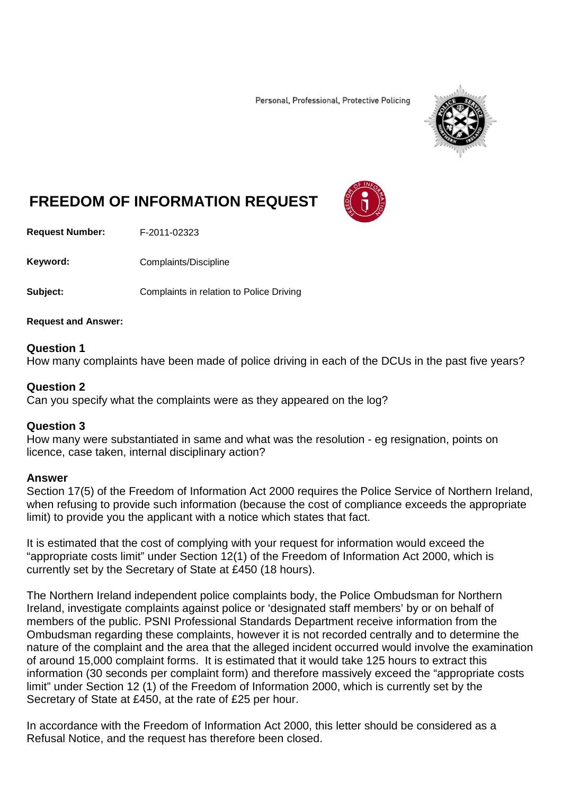Personal, Professional, Protective Policing



# **FREEDOM OF INFORMATION REQUEST**

**Request Number:** F-2011-02323

Keyword: Complaints/Discipline

**Subject:** Complaints in relation to Police Driving

**Request and Answer:**

### **Question 1**

How many complaints have been made of police driving in each of the DCUs in the past five years?

## **Question 2**

Can you specify what the complaints were as they appeared on the log?

# **Question 3**

How many were substantiated in same and what was the resolution - eg resignation, points on licence, case taken, internal disciplinary action?

### **Answer**

Section 17(5) of the Freedom of Information Act 2000 requires the Police Service of Northern Ireland, when refusing to provide such information (because the cost of compliance exceeds the appropriate limit) to provide you the applicant with a notice which states that fact.

It is estimated that the cost of complying with your request for information would exceed the "appropriate costs limit" under Section 12(1) of the Freedom of Information Act 2000, which is currently set by the Secretary of State at £450 (18 hours).

The Northern Ireland independent police complaints body, the Police Ombudsman for Northern Ireland, investigate complaints against police or 'designated staff members' by or on behalf of members of the public. PSNI Professional Standards Department receive information from the Ombudsman regarding these complaints, however it is not recorded centrally and to determine the nature of the complaint and the area that the alleged incident occurred would involve the examination of around 15,000 complaint forms. It is estimated that it would take 125 hours to extract this information (30 seconds per complaint form) and therefore massively exceed the "appropriate costs limit" under Section 12 (1) of the Freedom of Information 2000, which is currently set by the Secretary of State at £450, at the rate of £25 per hour.

In accordance with the Freedom of Information Act 2000, this letter should be considered as a Refusal Notice, and the request has therefore been closed.